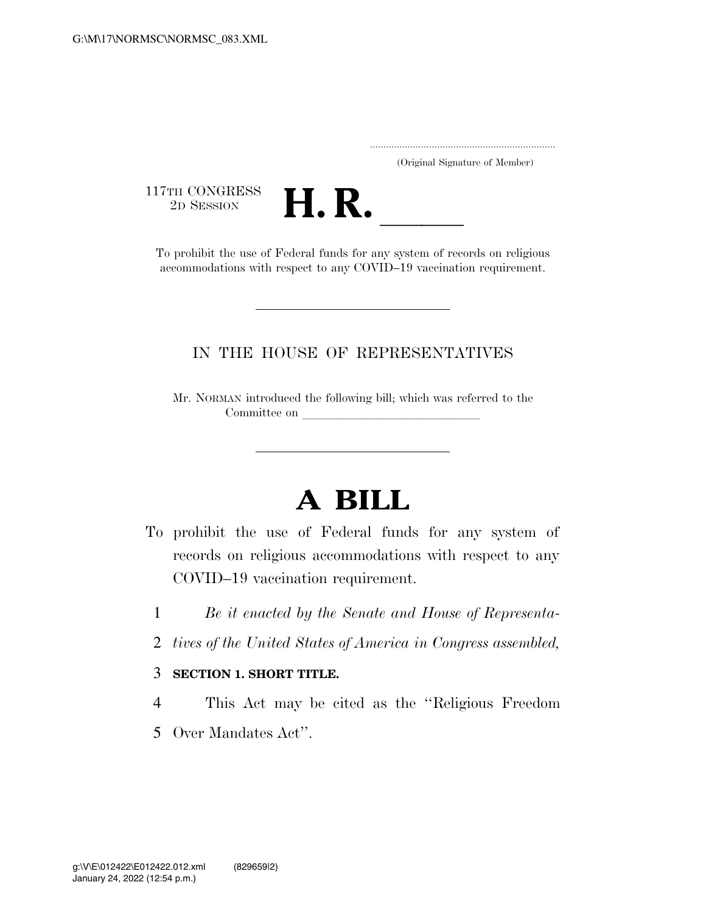..................................................................... (Original Signature of Member)

117TH CONGRESS<br>2D SESSION



17TH CONGRESS<br>
2D SESSION<br>
To prohibit the use of Federal funds for any system of records on religious accommodations with respect to any COVID–19 vaccination requirement.

## IN THE HOUSE OF REPRESENTATIVES

Mr. NORMAN introduced the following bill; which was referred to the Committee on

## **A BILL**

- To prohibit the use of Federal funds for any system of records on religious accommodations with respect to any COVID–19 vaccination requirement.
	- 1 *Be it enacted by the Senate and House of Representa-*
	- 2 *tives of the United States of America in Congress assembled,*

## 3 **SECTION 1. SHORT TITLE.**

- 4 This Act may be cited as the ''Religious Freedom
- 5 Over Mandates Act''.